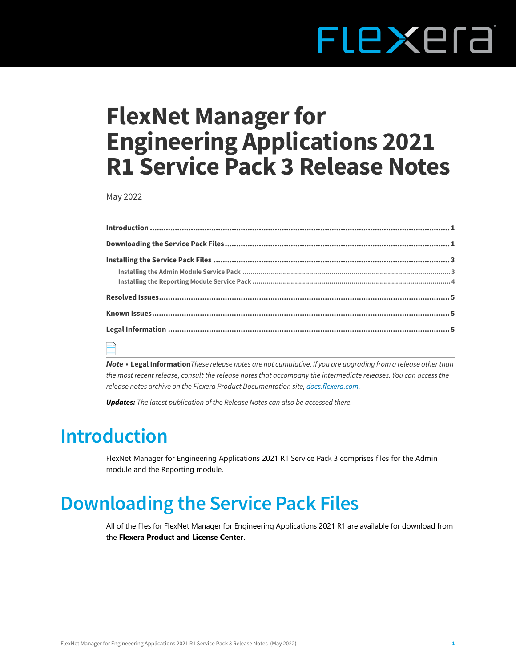# FLEXEra

# **FlexNet Manager for Engineering Applications 2021 R1 Service Pack 3 Release Notes**

May 2022

| $\Box$ |  |  |  |
|--------|--|--|--|

*Note •* **[Legal Information](#page-4-0)***These release notes are not cumulative. If you are upgrading from a release other than the most recent release, consult the release notes that accompany the intermediate releases. You can access the release notes archive on the Flexera Product Documentation site, [docs.flexera.com.](https://helpnet.flexerasoftware.com/?product=FlexNet%20Manager%20for%20Engineering%20Applications)*

*Updates: The latest publication of the Release Notes can also be accessed there.*

### <span id="page-0-0"></span>**Introduction**

FlexNet Manager for Engineering Applications 2021 R1 Service Pack 3 comprises files for the Admin module and the Reporting module.

# <span id="page-0-1"></span>**Downloading the Service Pack Files**

All of the files for FlexNet Manager for Engineering Applications 2021 R1 are available for download from the **Flexera Product and License Center**.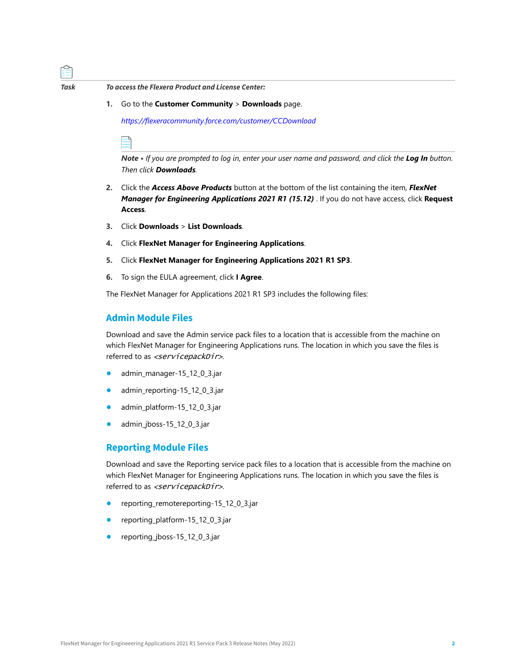

*Task To access the Flexera Product and License Center:*

**1.** Go to the **Customer Community** > **Downloads** page.

*[https://flexeracommunity.force.com/customer/CCDownload](https://flexeracommunity.force.com/customer/CCDownload )*

*Note • If you are prompted to log in, enter your user name and password, and click the Log In button. Then click Downloads.* 

- **2.** Click the *Access Above Products* button at the bottom of the list containing the item, *FlexNet Manager for Engineering Applications 2021 R1 (15.12)* . If you do not have access, click **Request Access**.
- **3.** Click **Downloads** > **List Downloads**.
- **4.** Click **FlexNet Manager for Engineering Applications**.
- **5.** Click **FlexNet Manager for Engineering Applications 2021 R1 SP3**.
- **6.** To sign the EULA agreement, click **I Agree**.

The FlexNet Manager for Applications 2021 R1 SP3 includes the following files:

#### **Admin Module Files**

Download and save the Admin service pack files to a location that is accessible from the machine on which FlexNet Manager for Engineering Applications runs. The location in which you save the files is referred to as <servicepackDir>.

- **•** admin\_manager-15\_12\_0\_3.jar
- **•** admin\_reporting-15\_12\_0\_3.jar
- **•** admin\_platform-15\_12\_0\_3.jar
- **•** admin\_jboss-15\_12\_0\_3.jar

#### **Reporting Module Files**

Download and save the Reporting service pack files to a location that is accessible from the machine on which FlexNet Manager for Engineering Applications runs. The location in which you save the files is referred to as <servicepackDir>.

- **•** reporting\_remotereporting-15\_12\_0\_3.jar
- **•** reporting\_platform-15\_12\_0\_3.jar
- **•** reporting\_jboss-15\_12\_0\_3.jar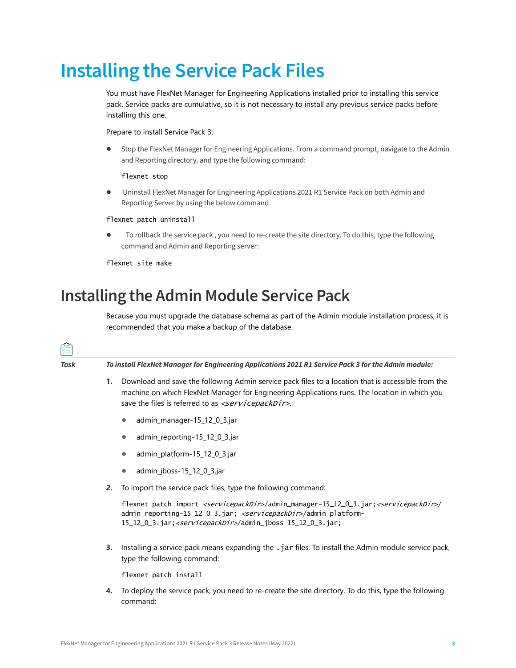# <span id="page-2-0"></span>**Installing the Service Pack Files**

You must have FlexNet Manager for Engineering Applications installed prior to installing this service pack. Service packs are cumulative, so it is not necessary to install any previous service packs before installing this one.

Prepare to install Service Pack 3:

**•** Stop the FlexNet Manager for Engineering Applications. From a command prompt, navigate to the Admin and Reporting directory, and type the following command:

flexnet stop

**•** Uninstall FlexNet Manager for Engineering Applications 2021 R1 Service Pack on both Admin and Reporting Server by using the below command

flexnet patch uninstall

**•** To rollback the service pack , you need to re-create the site directory. To do this, type the following command and Admin and Reporting server:

flexnet site make

### <span id="page-2-1"></span>**Installing the Admin Module Service Pack**

Because you must upgrade the database schema as part of the Admin module installation process, it is recommended that you make a backup of the database.

| 廷    |                                                                                                                                          |                                                                                                                                                                                                                                                                                            |  |  |
|------|------------------------------------------------------------------------------------------------------------------------------------------|--------------------------------------------------------------------------------------------------------------------------------------------------------------------------------------------------------------------------------------------------------------------------------------------|--|--|
| Task | To install FlexNet Manager for Engineering Applications 2021 R1 Service Pack 3 for the Admin module:                                     |                                                                                                                                                                                                                                                                                            |  |  |
|      | 1.                                                                                                                                       | Download and save the following Admin service pack files to a location that is accessible from the<br>machine on which FlexNet Manager for Engineering Applications runs. The location in which you<br>save the files is referred to as <servicepackdir>.</servicepackdir>                 |  |  |
|      |                                                                                                                                          | admin_manager-15_12_0_3.jar<br>$\bullet$                                                                                                                                                                                                                                                   |  |  |
|      |                                                                                                                                          | admin_reporting-15_12_0_3.jar<br>$\bullet$                                                                                                                                                                                                                                                 |  |  |
|      |                                                                                                                                          | admin_platform-15_12_0_3.jar<br>$\bullet$                                                                                                                                                                                                                                                  |  |  |
|      |                                                                                                                                          | admin_jboss-15_12_0_3.jar<br>$\bullet$                                                                                                                                                                                                                                                     |  |  |
|      | 2.                                                                                                                                       | To import the service pack files, type the following command:                                                                                                                                                                                                                              |  |  |
|      |                                                                                                                                          | flexnet patch import <servicepackdir>/admin_manager-15_12_0_3.jar;<servicepackdir>/<br/>admin_reporting-15_12_0_3.jar; <servicepackdir>/admin_platform-<br/>15_12_0_3.jar; <servicepackdir>/admin_jboss-15_12_0_3.jar;</servicepackdir></servicepackdir></servicepackdir></servicepackdir> |  |  |
|      | Installing a service pack means expanding the .jar files. To install the Admin module service pack,<br>3.<br>type the following command: |                                                                                                                                                                                                                                                                                            |  |  |
|      |                                                                                                                                          | flexnet patch install                                                                                                                                                                                                                                                                      |  |  |
|      | 4.                                                                                                                                       | To deploy the service pack, you need to re-create the site directory. To do this, type the following<br>command:                                                                                                                                                                           |  |  |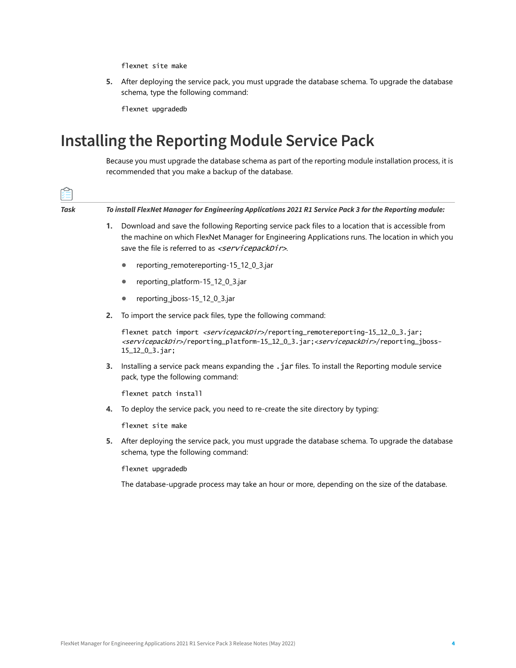flexnet site make

**5.** After deploying the service pack, you must upgrade the database schema. To upgrade the database schema, type the following command:

flexnet upgradedb

### <span id="page-3-0"></span>**Installing the Reporting Module Service Pack**

Because you must upgrade the database schema as part of the reporting module installation process, it is recommended that you make a backup of the database.

| Task | To install FlexNet Manager for Engineering Applications 2021 R1 Service Pack 3 for the Reporting module: |                                                                                                                                                                                                                                                                               |  |
|------|----------------------------------------------------------------------------------------------------------|-------------------------------------------------------------------------------------------------------------------------------------------------------------------------------------------------------------------------------------------------------------------------------|--|
|      | 1.                                                                                                       | Download and save the following Reporting service pack files to a location that is accessible from<br>the machine on which FlexNet Manager for Engineering Applications runs. The location in which you<br>save the file is referred to as <servicepackdir>.</servicepackdir> |  |
|      |                                                                                                          | reporting_remotereporting-15_12_0_3.jar<br>$\bullet$                                                                                                                                                                                                                          |  |
|      |                                                                                                          | reporting_platform-15_12_0_3.jar<br>$\bullet$                                                                                                                                                                                                                                 |  |
|      |                                                                                                          | reporting_jboss-15_12_0_3.jar<br>$\bullet$                                                                                                                                                                                                                                    |  |
|      | 2.                                                                                                       | To import the service pack files, type the following command:                                                                                                                                                                                                                 |  |
|      |                                                                                                          | flexnet patch import <servicepackdir>/reporting_remotereporting-15_12_0_3.jar;<br/><servicepackdir>/reporting_platform-15_12_0_3.jar;<servicepackdir>/reporting_jboss-<br/><math>15_12_03.</math>jar;</servicepackdir></servicepackdir></servicepackdir>                      |  |
|      | 3.                                                                                                       | Installing a service pack means expanding the .jar files. To install the Reporting module service<br>pack, type the following command:                                                                                                                                        |  |
|      |                                                                                                          | flexnet patch install                                                                                                                                                                                                                                                         |  |
|      | 4.                                                                                                       | To deploy the service pack, you need to re-create the site directory by typing:                                                                                                                                                                                               |  |
|      |                                                                                                          | flexnet site make                                                                                                                                                                                                                                                             |  |
|      | 5.                                                                                                       | After deploying the service pack, you must upgrade the database schema. To upgrade the database<br>schema, type the following command:                                                                                                                                        |  |
|      |                                                                                                          | flexnet upgradedb                                                                                                                                                                                                                                                             |  |
|      |                                                                                                          | The database-upgrade process may take an hour or more, depending on the size of the database.                                                                                                                                                                                 |  |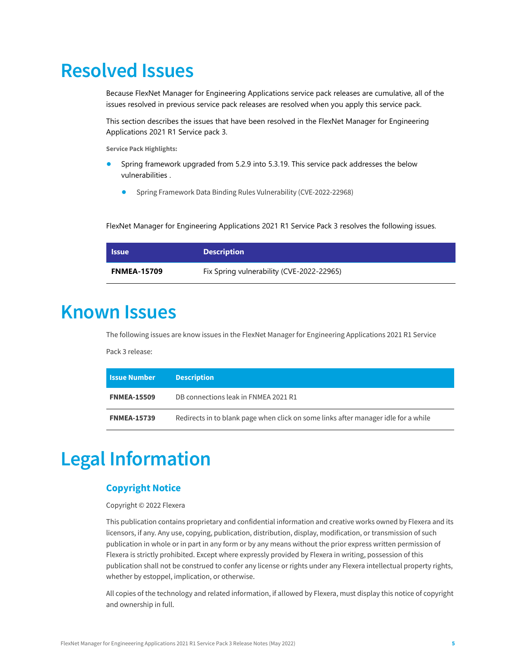### <span id="page-4-1"></span>**Resolved Issues**

Because FlexNet Manager for Engineering Applications service pack releases are cumulative, all of the issues resolved in previous service pack releases are resolved when you apply this service pack.

This section describes the issues that have been resolved in the FlexNet Manager for Engineering Applications 2021 R1 Service pack 3.

**Service Pack Highlights:**

- Spring framework upgraded from 5.2.9 into 5.3.19. This service pack addresses the below vulnerabilities .
	- **•** [Spring Frame](https://cve.mitre.org/cgi-bin/cvename.cgi?name=CVE-2021-45105)[work Data Binding Rules Vulnerability \(CVE-2022-22968\)](https://spring.io/blog/2022/04/13/spring-framework-data-binding-rules-vulnerability-cve-2022-22968)

FlexNet Manager for Engineering Applications 2021 R1 Service Pack 3 resolves the following issues.

| <b>Issue</b>       | <b>Description</b>                        |
|--------------------|-------------------------------------------|
| <b>FNMEA-15709</b> | Fix Spring vulnerability (CVE-2022-22965) |

### <span id="page-4-2"></span>**Known Issues**

The following issues are know issues in the FlexNet Manager for Engineering Applications 2021 R1 Service

Pack 3 release:

| <b>Issue Number</b> | <b>Description</b>                                                                 |
|---------------------|------------------------------------------------------------------------------------|
| <b>FNMEA-15509</b>  | DB connections leak in FNMEA 2021 R1                                               |
| <b>FNMEA-15739</b>  | Redirects in to blank page when click on some links after manager idle for a while |

# <span id="page-4-0"></span>**Legal Information**

### **Copyright Notice**

#### Copyright © 2022 Flexera

This publication contains proprietary and confidential information and creative works owned by Flexera and its licensors, if any. Any use, copying, publication, distribution, display, modification, or transmission of such publication in whole or in part in any form or by any means without the prior express written permission of Flexera is strictly prohibited. Except where expressly provided by Flexera in writing, possession of this publication shall not be construed to confer any license or rights under any Flexera intellectual property rights, whether by estoppel, implication, or otherwise.

All copies of the technology and related information, if allowed by Flexera, must display this notice of copyright and ownership in full.